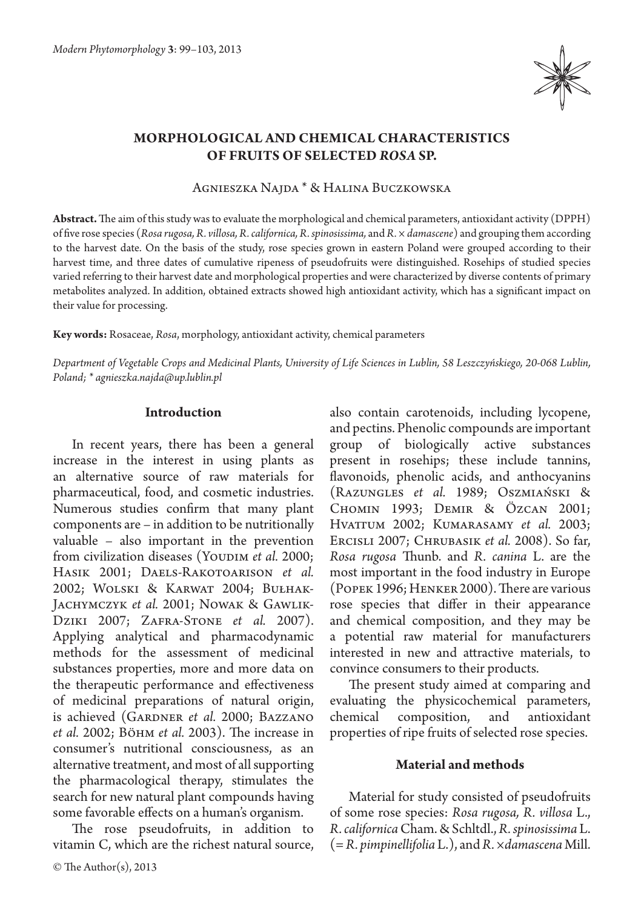

# **Morphological and chemical characteristics of fruits of selected** *Rosa* **sp.**

Agnieszka Najda \* & Halina Buczkowska

**Abstract.** The aim of this study was to evaluate the morphological and chemical parameters, antioxidant activity (DPPH) of five rose species (*Rosa rugosa, R. villosa, R. californica, R. spinosissima,* and *R. × damascene*) and grouping them according to the harvest date. On the basis of the study, rose species grown in eastern Poland were grouped according to their harvest time, and three dates of cumulative ripeness of pseudofruits were distinguished. Rosehips of studied species varied referring to their harvest date and morphological properties and were characterized by diverse contents of primary metabolites analyzed. In addition, obtained extracts showed high antioxidant activity, which has a significant impact on their value for processing.

**Key words:** Rosaceae, *Rosa*, morphology, antioxidant activity, chemical parameters

*Department of Vegetable Crops and Medicinal Plants, University of Life Sciences in Lublin, 58 Leszczyńskiego, 20-068 Lublin, Poland; \* agnieszka.najda@up.lublin.pl*

#### **Introduction**

In recent years, there has been a general increase in the interest in using plants as an alternative source of raw materials for pharmaceutical, food, and cosmetic industries. Numerous studies confirm that many plant components are – in addition to be nutritionally valuable – also important in the prevention from civilization diseases (YoupIM *et al.* 2000; Hasik 2001; Daels-Rakotoarison *et al.* 2002; Wolski & Karwat 2004; Bułhak-JACHYMCZYK et al. 2001; NOWAK & GAWLIK-Dziki 2007; Zafra-Stone *et al.* 2007). Applying analytical and pharmacodynamic methods for the assessment of medicinal substances properties, more and more data on the therapeutic performance and effectiveness of medicinal preparations of natural origin, is achieved (GARDNER et al. 2000; BAZZANO *et al.* 2002; Böhm *et al.* 2003). The increase in consumer's nutritional consciousness, as an alternative treatment, and most of all supporting the pharmacological therapy, stimulates the search for new natural plant compounds having some favorable effects on a human's organism.

The rose pseudofruits, in addition to vitamin C, which are the richest natural source,

© The Author(s), 2013

also contain carotenoids, including lycopene, and pectins. Phenolic compounds are important group of biologically active substances present in rosehips; these include tannins, flavonoids, phenolic acids, and anthocyanins (Razungles *et al.* 1989; Oszmiański & Chomin 1993; Demir & Özcan 2001; Hvattum 2002; Kumarasamy *et al.* 2003; Ercisli 2007; Chrubasik *et al.* 2008). So far, *Rosa rugosa*  Thunb. and *R. canina* L. are the most important in the food industry in Europe (Popek 1996; Henker 2000). There are various rose species that differ in their appearance and chemical composition, and they may be a potential raw material for manufacturers interested in new and attractive materials, to convince consumers to their products.

The present study aimed at comparing and evaluating the physicochemical parameters, chemical composition, and antioxidant properties of ripe fruits of selected rose species.

#### **Material and methods**

Material for study consisted of pseudofruits of some rose species: *Rosa rugosa, R. villosa* L., *R. californica* Cham. & Schltdl., *R. spinosissima* L. (= *R. pimpinellifolia* L.), and *R. ×damascena* Mill.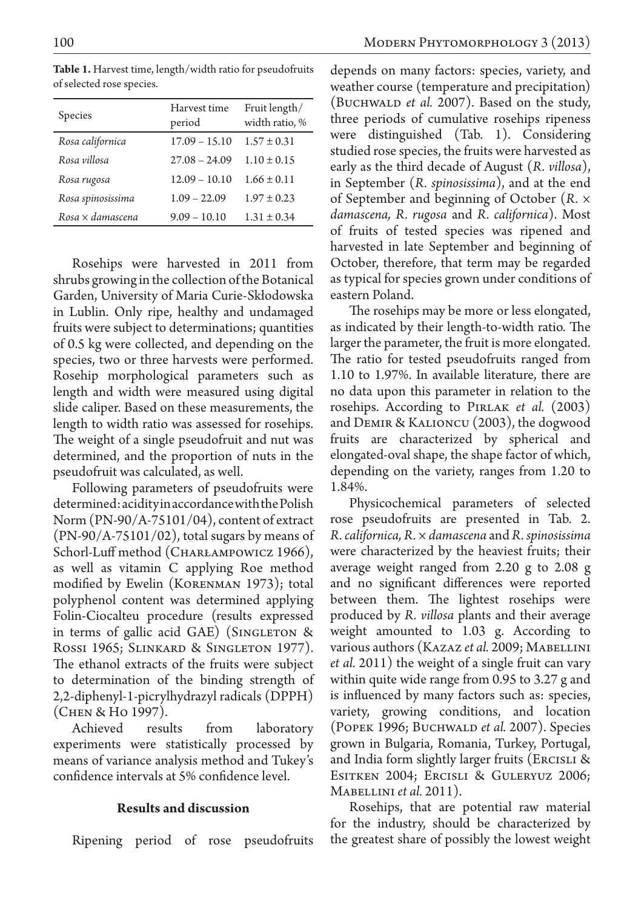| Species           | Harvest time<br>period | Fruit length/<br>width ratio, % |
|-------------------|------------------------|---------------------------------|
| Rosa californica  | $17.09 - 15.10$        | $1.57 \pm 0.31$                 |
| Rosa villosa      | $27.08 - 24.09$        | $1.10 \pm 0.15$                 |
| Rosa rugosa       | $12.09 - 10.10$        | $1.66 \pm 0.11$                 |
| Rosa spinosissima | $1.09 - 22.09$         | $1.97 \pm 0.23$                 |
| Rosa × damascena  | $9.09 - 10.10$         | $1.31 \pm 0.34$                 |

**Table 1.** Harvest time, length/width ratio for pseudofruits of selected rose species.

Rosehips were harvested in 2011 from shrubs growing in the collection of the Botanical Garden, University of Maria Curie-Skłodowska in Lublin. Only ripe, healthy and undamaged fruits were subject to determinations; quantities of 0.5 kg were collected, and depending on the species, two or three harvests were performed. Rosehip morphological parameters such as length and width were measured using digital slide caliper. Based on these measurements, the length to width ratio was assessed for rosehips. The weight of a single pseudofruit and nut was determined, and the proportion of nuts in the pseudofruit was calculated, as well.

Following parameters of pseudofruits were determined: acidity in accordance with the Polish Norm (PN-90/A-75101/04), content of extract  $(PN-90/A-75101/02)$ , total sugars by means of Schorl-Luff method (CHARŁAMPOWICZ 1966), as well as vitamin C applying Roe method modified by Ewelin (KORENMAN 1973); total polyphenol content was determined applying Folin-Ciocalteu procedure (results expressed in terms of gallic acid GAE) (SINGLETON  $\&$ Rossi 1965; Slinkard & Singleton 1977). The ethanol extracts of the fruits were subject to determination of the binding strength of 2,2-diphenyl-1-picrylhydrazyl radicals (DPPH) (Chen & Ho 1997).

Achieved results from laboratory experiments were statistically processed by means of variance analysis method and Tukey's confidence intervals at 5% confidence level.

## **Results and discussion**

Ripening period of rose pseudofruits

depends on many factors: species, variety, and weather course (temperature and precipitation) (BUCHWALD *et al.* 2007). Based on the study, three periods of cumulative rosehips ripeness were distinguished (Tab. 1). Considering studied rose species, the fruits were harvested as early as the third decade of August (*R. villosa*), in September (*R. spinosissima*), and at the end of September and beginning of October (*R. × damascena, R. rugosa* and *R. californica*). Most of fruits of tested species was ripened and harvested in late September and beginning of October, therefore, that term may be regarded as typical for species grown under conditions of eastern Poland.

The rosehips may be more or less elongated, as indicated by their length-to-width ratio. The larger the parameter, the fruit is more elongated. The ratio for tested pseudofruits ranged from 1.10 to 1.97%. In available literature, there are no data upon this parameter in relation to the rosehips. According to Pirlak *et al.* (2003) and Demir & Kalioncu (2003), the dogwood fruits are characterized by spherical and elongated-oval shape, the shape factor of which, depending on the variety, ranges from 1.20 to 1.84%.

Physicochemical parameters of selected rose pseudofruits are presented in Tab. 2. *R. californica, R. × damascena* and *R. spinosissima*  were characterized by the heaviest fruits; their average weight ranged from 2.20 g to 2.08 g and no significant differences were reported between them. The lightest rosehips were produced by *R. villosa* plants and their average weight amounted to 1.03 g. According to various authors (Kazaz *et al.* 2009; Mabellini *et al.* 2011) the weight of a single fruit can vary within quite wide range from 0.95 to 3.27 g and is influenced by many factors such as: species, variety, growing conditions, and location (Popek 1996; Buchwald *et al.* 2007). Species grown in Bulgaria, Romania, Turkey, Portugal, and India form slightly larger fruits (ERCISLI & Esitken 2004; Ercisli & Guleryuz 2006; Mabellini *et al.* 2011).

Rosehips, that are potential raw material for the industry, should be characterized by the greatest share of possibly the lowest weight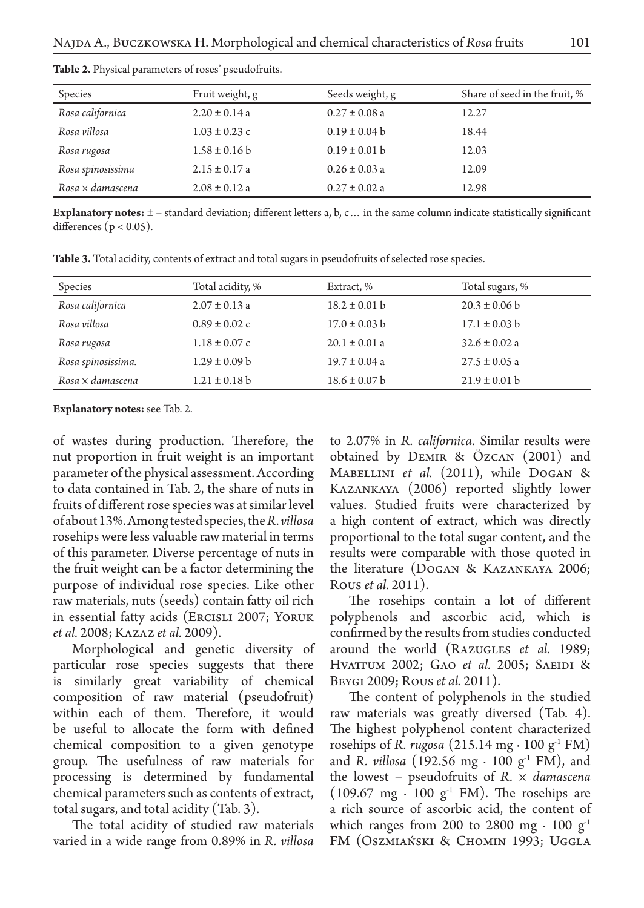| Species                    | Fruit weight, g   | Seeds weight, g   | Share of seed in the fruit, % |
|----------------------------|-------------------|-------------------|-------------------------------|
| Rosa californica           | $2.20 \pm 0.14$ a | $0.27 \pm 0.08$ a | 12.27                         |
| Rosa villosa               | $1.03 \pm 0.23$ c | $0.19 \pm 0.04 b$ | 18.44                         |
| Rosa rugosa                | $1.58 \pm 0.16$ b | $0.19 \pm 0.01$ b | 12.03                         |
| Rosa spinosissima          | $2.15 \pm 0.17$ a | $0.26 \pm 0.03$ a | 12.09                         |
| $R$ osa $\times$ damascena | $2.08 \pm 0.12$ a | $0.27 \pm 0.02$ a | 12.98                         |

**Table 2.** Physical parameters of roses' pseudofruits.

**Explanatory notes:**  $\pm$  – standard deviation; different letters a, b, c... in the same column indicate statistically significant differences ( $p < 0.05$ ).

**Table 3.** Total acidity, contents of extract and total sugars in pseudofruits of selected rose species.

| Species                    | Total acidity, %  | Extract, %        | Total sugars, %   |
|----------------------------|-------------------|-------------------|-------------------|
| Rosa californica           | $2.07 \pm 0.13$ a | $18.2 \pm 0.01$ b | $20.3 \pm 0.06$ b |
| Rosa villosa               | $0.89 \pm 0.02$ c | $17.0 \pm 0.03$ b | $17.1 \pm 0.03$ b |
| Rosa rugosa                | $1.18 \pm 0.07$ c | $20.1 \pm 0.01$ a | $32.6 \pm 0.02$ a |
| Rosa spinosissima.         | $1.29 \pm 0.09$ b | $19.7 \pm 0.04$ a | $27.5 \pm 0.05$ a |
| $R$ osa $\times$ damascena | $1.21 \pm 0.18$ b | $18.6 \pm 0.07$ b | $21.9 \pm 0.01$ b |
|                            |                   |                   |                   |

**Explanatory notes:** see Tab. 2.

of wastes during production. Therefore, the nut proportion in fruit weight is an important parameter of the physical assessment. According to data contained in Tab. 2, the share of nuts in fruits of different rose species was at similar level of about 13%. Among tested species, the *R. villosa* rosehips were less valuable raw material in terms of this parameter. Diverse percentage of nuts in the fruit weight can be a factor determining the purpose of individual rose species. Like other raw materials, nuts (seeds) contain fatty oil rich in essential fatty acids (Ercisli 2007; Yoruk *et al.* 2008; Kazaz *et al.* 2009).

Morphological and genetic diversity of particular rose species suggests that there is similarly great variability of chemical composition of raw material (pseudofruit) within each of them. Therefore, it would be useful to allocate the form with defined chemical composition to a given genotype group. The usefulness of raw materials for processing is determined by fundamental chemical parameters such as contents of extract, total sugars, and total acidity (Tab. 3).

The total acidity of studied raw materials varied in a wide range from 0.89% in *R. villosa* 

to 2.07% in *R. californica*. Similar results were obtained by Demir & Özcan (2001) and Mabellini *et al.* (2011), while Dogan & Kazankaya (2006) reported slightly lower values. Studied fruits were characterized by a high content of extract, which was directly proportional to the total sugar content, and the results were comparable with those quoted in the literature (Dogan & Kazankaya 2006; Rous *et al.* 2011).

The rosehips contain a lot of different polyphenols and ascorbic acid, which is confirmed by the results from studies conducted around the world (RAZUGLES *et al.* 1989; HVATTUM 2002; GAO *et al.* 2005; SAEIDI & Beygi 2009; Rous*et al.* 2011).

The content of polyphenols in the studied raw materials was greatly diversed (Tab. 4). The highest polyphenol content characterized rosehips of *R. rugosa* (215.14 mg ⋅ 100 g<sup>-1</sup> FM) and *R. villosa* (192.56 mg ⋅ 100 g<sup>-1</sup> FM), and the lowest – pseudofruits of *R. × damascena*  (109.67 mg ⋅ 100 g<sup>-1</sup> FM). The rosehips are a rich source of ascorbic acid, the content of which ranges from 200 to 2800 mg ⋅ 100 g<sup>1</sup> FM (Oszmiański & Chomin 1993; Uggla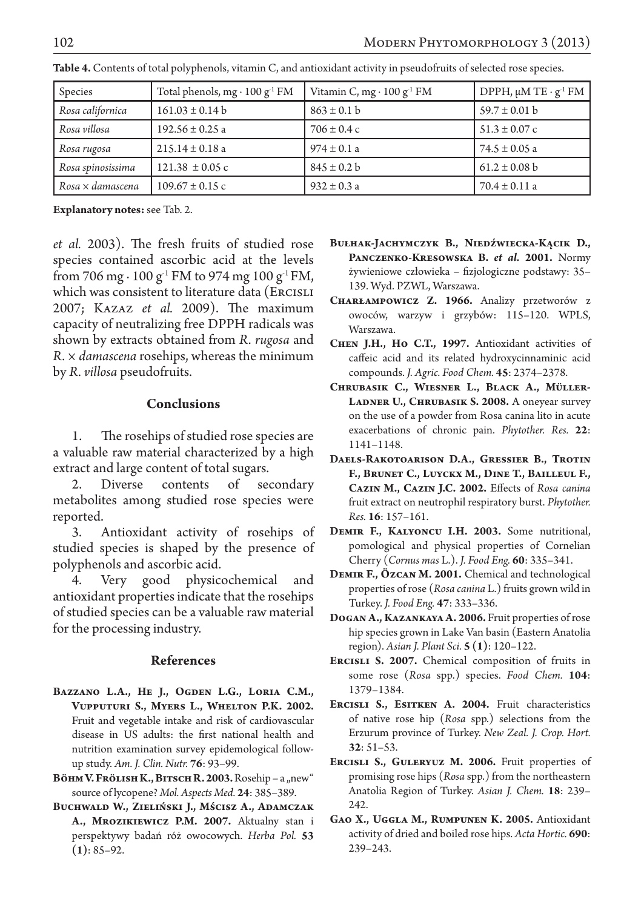| Species                    | Total phenols, mg $\cdot$ 100 g <sup>-1</sup> FM | Vitamin C, mg $\cdot$ 100 g <sup>-1</sup> FM | DPPH, $\mu$ M TE · $g^{-1}$ FM |
|----------------------------|--------------------------------------------------|----------------------------------------------|--------------------------------|
| Rosa californica           | $161.03 \pm 0.14 b$                              | $863 \pm 0.1$ b                              | $59.7 \pm 0.01$ b              |
| Rosa villosa               | $192.56 \pm 0.25$ a                              | $706 \pm 0.4$ c                              | $51.3 \pm 0.07$ c              |
| Rosa rugosa                | $215.14 \pm 0.18$ a                              | $974 \pm 0.1$ a                              | $74.5 \pm 0.05$ a              |
| Rosa spinosissima          | $121.38 \pm 0.05$ c                              | $845 \pm 0.2$ b                              | $61.2 \pm 0.08$ b              |
| $R$ osa $\times$ damascena | $109.67 \pm 0.15$ c                              | $932 \pm 0.3$ a                              | $70.4 \pm 0.11$ a              |

**Table 4.** Contents of total polyphenols, vitamin C, and antioxidant activity in pseudofruits of selected rose species.

**Explanatory notes:** see Tab. 2.

*et al.* 2003). The fresh fruits of studied rose species contained ascorbic acid at the levels from 706 mg ⋅ 100 g<sup>-1</sup> FM to 974 mg 100 g<sup>-1</sup> FM, which was consistent to literature data (ERCISLI 2007; Kazaz *et al.* 2009). The maximum capacity of neutralizing free DPPH radicals was shown by extracts obtained from *R. rugosa* and *R. × damascena* rosehips, whereas the minimum by *R. villosa* pseudofruits.

## **Conclusions**

1. The rosehips of studied rose species are a valuable raw material characterized by a high extract and large content of total sugars.

2. Diverse contents of secondary metabolites among studied rose species were reported.

3. Antioxidant activity of rosehips of studied species is shaped by the presence of polyphenols and ascorbic acid.

4. Very good physicochemical and antioxidant properties indicate that the rosehips of studied species can be a valuable raw material for the processing industry.

# **References**

- BAZZANO L.A., HE J., OGDEN L.G., LORIA C.M., **Vupputuri S., Myers L., Whelton P.K. 2002.** Fruit and vegetable intake and risk of cardiovascular disease in US adults: the first national health and nutrition examination survey epidemological followup study. *Am. J. Clin. Nutr.* **76**: 93–99.
- **Вöнм V. Frölish K., Bitsch R. 2003.** Rosehip a "new" source of lycopene? *Mol. Aspects Med.* **24**: 385–389.
- **Buchwald W., Zieliński J., Mścisz A., Adamczak A., Mrozikiewicz P.M. 2007.** Aktualny stan i perspektywy badań róż owocowych. *Herba Pol.* **53 (1)**: 85–92.
- **Bułhak-Jachymczyk B., Niedźwiecka-Kącik D.,**  PANCZENKO-KRESOWSKA B. *et al.* 2001. Normy żywieniowe człowieka – fizjologiczne podstawy: 35– 139. Wyd. PZWL, Warszawa.
- **Charłampowicz Z. 1966.** Analizy przetworów z owoców, warzyw i grzybów: 115–120. WPLS, Warszawa.
- **Chen J.H., Ho C.T., 1997.** Antioxidant activities of caffeic acid and its related hydroxycinnaminic acid compounds. *J. Agric. Food Chem.* **45**: 2374–2378.
- **Chrubasik C., Wiesner L., Black A., Müller-Ladner U., Chrubasik S. 2008.** A oneyear survey on the use of a powder from Rosa canina lito in acute exacerbations of chronic pain. *Phytother. Res.* **22**: 1141–1148.
- **Daels-Rakotoarison D.A., Gressier B., Trotin F., Brunet C., Luyckx M., Dine T., Bailleul F., Cazin M., Cazin J.C. 2002.** Effects of *Rosa canina*  fruit extract on neutrophil respiratory burst. *Phytother. Res.* **16**: 157–161.
- **Demir F., Kalyoncu I.H. 2003.** Some nutritional, pomological and physical properties of Cornelian Cherry (*Cornus mas* L.). *J. Food Eng.* **60**: 335–341.
- **Demir F., Özcan M. 2001.** Chemical and technological properties of rose (*Rosa canina* L.) fruits grown wild in Turkey. *J. Food Eng.* **47**: 333–336.
- **Dogan A., Kazankaya A. 2006.** Fruit properties of rose hip species grown in Lake Van basin (Eastern Anatolia region). *Asian J. Plant Sci.* **5 (1)**: 120–122.
- **Ercisli S. 2007.** Chemical composition of fruits in some rose (*Rosa* spp.) species. *Food Chem.* **104**: 1379–1384.
- **Ercisli S., Esitken A. 2004.** Fruit characteristics of native rose hip (*Rosa* spp.) selections from the Erzurum province of Turkey. *New Zeal. J. Crop. Hort.*  **32**: 51–53.
- **Ercisli S., Guleryuz M. 2006.** Fruit properties of promising rose hips (*Rosa* spp.) from the northeastern Anatolia Region of Turkey. *Asian J. Chem.* **18**: 239– 242.
- **Gao X., Uggla M., Rumpunen K. 2005.** Antioxidant activity of dried and boiled rose hips. *Acta Hortic.* **690**: 239–243.